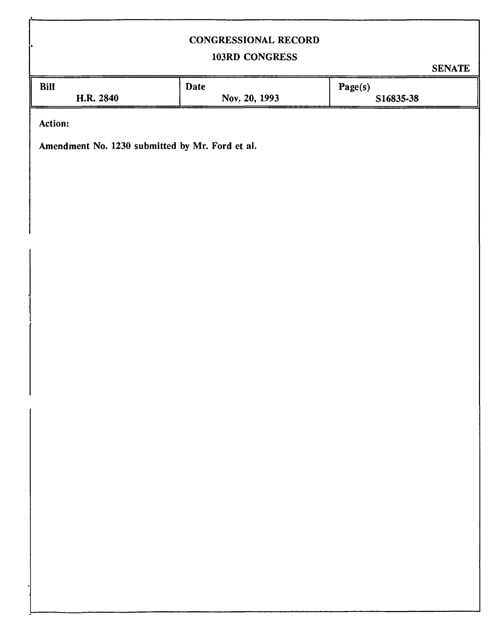## CONGRESSIONAL RECORD

# 103RD CONGRESS

SENATE

| <b>Bill</b>    | <b>Date</b>   | Page(s)   |  |
|----------------|---------------|-----------|--|
| H.R. 2840      | Nov. 20, 1993 | S16835-38 |  |
| <b>Action:</b> |               |           |  |

Amendment No. 1230 submitted by Mr. Ford et al.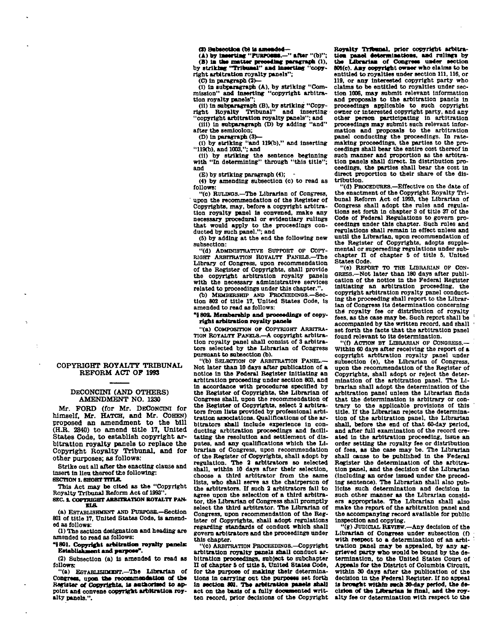(3) Subsection (b) is amended-

**(A) by inserting "PURroan.—" aftsr "(b)";**  (B) in the matter preceding paragraph (1), by striking "Tribunal" and inserting "copy**right arbitration royalty panels";** 

**(C) In paragraph (3>—** 

**(i) in subparagraph (A), by striking "Com-mission" and Inserting "copyright arbitration royalty panels":** 

(II) in subparagraph (B), by striking "Copy-<br> **right** Royalty Tribunal" and inserting **right Royalty Tribunal" and Inserting "copyright arbitration royalty panels"; and** 

**(III) in subparagraph (D) by adding "and"** 

**after the semloolon;** 

**(D) In paragraph (3)— (I) by striking "and 119(b)," and Inserting "119(b). and 1003,"; and** 

**(II) by striking the sentence beginning with "In determining" through "this title";** 

**and** 

**(E) by striking paragraph (4); -**

**(4) by amending subsection (c) to read as follows:** 

**"(c) RULWOS.—The Librarian of Congress, upon the recommendation of the Register of Copyrights, may, before a copyright arbitration royalty panel is convened, make any necessary procedural or evidentiary rulings that would apply to the proceedings conducted by Buch panel."; and** 

**(5) by adding at the end the following new subsection:** 

**"(d) ADMINISTRATIVE SUPPORT OF COPY-RiaHT ARBITRATION ROYALTY PANELS.—The Library of Congress, upon recommendation of the Register of Copyrights, shall provide the copyright arbitration royalty panels with the necessary administrative services related to proceedings under this chapter.".** 

**(b) MEMBERSHIP AND PROCEEDINGS.—Section 802 of title 17, United States Code, is amended to read as follows:** 

#### **"8802. Membership and proceeding! of copyright arbitration royalty panels**

**"(a) COMPOSITION OP COPYRIOHT ARBITRA-TION ROYALTY PANELS.—A copyright arbitra-tion royalty panel shall consist of 3 arbitrators selected by the Librarian of Congress pursuant to subsection (b).** 

**"(b) SELECTION OP ARBITRATION PANEL.— Mot later than 10 days after publication of a notice In the Federal Register Initiating an arbitration proceeding under section 803, and In accordance with procedures specified by the Register of Copyrights, the Librarian of Congress shall, upon the recommendation of the Register of Copyrights, select 2 arbitrators from lists provided by professional arbitration associations. Qualifications of the arbitrators shall Include experience In conducting arbitration proceedings and facilitating the resolution and settlement of disputes, and any qualifications which the Librarian of Congress, upon recommendation of the Register of Copyrights, shall adopt by regulation. The 2 arbitrators so selected shall, within 10 days after their selection, choose a third arbitrator from the same lists, who shall serve as the chairperson of the arbitrators. If such 2 arbitrators fall to agree upon the selection of a third arbitrator, the Librarian of Congress shall promptly select the third arbitrator. The Librarian of**  select the third arbitrator. The Librarian of Congress, upon recommendation of the Reg**regarding standards of conduct which shall**  regarding standards of conduct which sharp<br>govern arbitrators and the proceedings under

**"(c) ARBITRATION PROCEEDINOS.—Copyright arbitration royalty panels shall conduct arbitration proceedings, subject to subchapter II of chapter S of title 6, United States Code, for the purpose of making their determinations in carrying out the purposes set forth**  in section 801. The arbitration panels shall act on the basis of a fully dooumented writ**ten record, prior decisions of the Copyright**  **Royalty Trlbanal, prior copyright arbitration panel •etermlaattons, and rulings by the Librarian of Congress under section 801(c). Aay copyright owner who claims to be entitled to royalties under section 111, 116, or 119, or any Interested copyright party who claims to be entitled to royalties under section 1006, may submit relevant Information and proposals to the arbitration panels In proceedings applicable to such copyright owner or Interested copyright party, and any other person participating in arbitration proceedings may submit such relevant information and proposals to the arbitration panel conducting the proceedings. In ratemaking proceedings, the parties to the pro-ceedings shall bear the entire cost thereof in such manner and proportion as the arbitration panels shall direct. In distribution proceedings, the parties shall bear the cost In direct proportion to their share of the distribution.** 

**"(d) PROCEDURES.—Effective on the date of the enactment of the Copyright Royalty Tribunal Reform Act of 1993, the Librarian of Congress shall adopt the rules and regulations set forth in chapter 3 of title 37 of the Code of Federal Regulations to govern proceedings under this chapter. Such rules and regulations shall remain In effect unless and until the Librarian, upon recommendation of the Register of Copyrights, adopts supplemental or superseding regulations under subchapter n of chapter 5 of title S, United States Code.** 

**"(e) REPORT TO THE LIBRARIAN OP CON-GRESS.—Not later than 180 days after publication of the notice in the Federal Register Initiating an arbitration proceeding, the copyright arbitration royalty panel conducting the proceeding shall report to the Librarian of Congress Its determination concerning ths royalty fee or distribution of royalty fees, as the case may be. Such report shall be accompanied by the written record, and shall set forth the facts that the arbitration panel found relevant to its determination.** 

**"(0 ACTION BY LIBRARIAN OF CONORESS.— Within 60 days after receiving the report of a copyright arbitration royalty panel under subsection (e), the Librarian of Congress, upon the recommendation of the Register of Copyrights, shall adopt or reject the determination of the arbitration panel. The Librarian shall adopt the determination of the arbitration panel unless the Librarian finds that the determination is arbitrary or contrary to the applicable provisions of this title. If the Librarian rejects the determination of the arbitration panel, the Librarian shall, before the end of that 60-day period, and after full examination of the record created in the arbitration proceeding, issue an order setting the royalty fee or distribution of fees, as the case may be. The Librarian shall cause to be published in the Federal Register the determination of the arbitration panel, and the decision of the Librarian (including an order Issued under the preceding sentence). The Librarian shall also publicize such determination and decision in such other manner as the Librarian considers appropriate. The Librarian shall also make the report of the arbitration panel and the accompanying record available for public Inspection and copying.** 

**"(g) JUDICIAL REVIEW.—Any decision of the**  Librarian of Congress under subsection (f) **with respect to a determination of an arbitration panel may be appealed, by any aggrieved party who would be bound by the determination, to the United States Court of Appeals for the District of Columbia Circuit, within 30 days after the publication of the decision in the Federal Register. If no appeal Is broaght within each 80-day period, the decision of the Librarian to final, and the royalty fee or determination with respect to the** 

### **COPYRIGHT ROYALTY TRIBUNAL. REFORM ACT OF 1998**

#### **DECONCINI (AND OTHERS) AMENDMENT NO. 1230**

**Mr. FORD (for Mr. DECONCINI for himself, Mr. HATCH, and Mr. COHEN)**  proposed an amendment to the bill **(H.R. 2840) t o amend titl e 17, United**  States Code, to establish copyright arbitration royalty panels to replace the Copyright Royalty Tribunal, and for **other purposes; as follows:** 

**Strike oat all after the enacting clause and insert In lien thereof the following: SECTION 1. SHOBT TITLE.** 

**This Act may be cited as the "Copyright Royalty Tribunal Reform Act of 1993".** 

**SEC. 2. COPYRIGHT ARBITRATION ROYALTY PAN-ET.A.** 

**(a) ESTABLISHMENT AND PURPOSE.—Section 801 of title 17, United States Code, is amended as follows:** 

**(1) The section designation and heading are amended to read as follows:** 

**"5801. Copyright arbitration royalty panels Establishment and parposa".** 

**(2) Subsection (a) is amended to read as follows:** 

**"(a) ESTABLISHMENT.—The Librarian of Congress, upon tha reoommeodatton of tbs Register of Copyrights. U authorised to appoint and convene copyright arbitrattom royalty panels.".**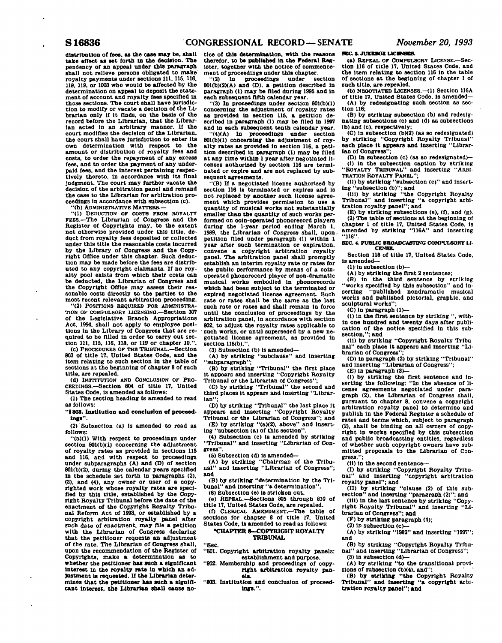distribution of fees, as the case may be, shall **take effect as set forth In the decision. The pendency of an appeal under this paragraph shall not relieve persons obligated to make royalty payments under sections 111. 116,116, 118. 119, or 1003 who would be affected by the determination on appeal to deposit the statement of account and royalty fees specified In those sections. The court shall have Jurisdiction to modify or vacate a decision of the Librarian only If It finds, on the basis of the record before the Librarian, that the Librarian acted In an arbitrary manner. If the court modifies the decision of the Librarian, the court shall have Jurisdiction to enter Its own determination with respect to the amount or distribution of royalty fees and costs, to order the repayment of any excess fees, and to order the payment of any underpaid fees, and the Interest pertaining respectively thereto, In accordance with Its final Judgment. The court may further vacate the decision of the arbitration panel and remand the case to the Librarian for arbitration proceedings in accordance with subsection (c).**<br>ceedings in accordance with subsection (c).

**"(1) DEDUCTION OF COSTS FROM ROYALTY FEES.—The Librarian of Congress and the Register of Copyrights may, to the extent not otherwise provided under this title, deduct from royalty fees deposited or collected under this title the reasonable costs Incurred by the Library of Congress and the Copyright Office under this chapter. Such deduction may be made before the fees are distributed to any copyright claimants. If no royalty pool exists from which their costs can be deducted, the Librarian of Congress and the Copyright Office may assess their reasonable costs directly to the parties to the most recent relevant arbitration proceeding.** 

**"(2) POSITIONS REQUIRED FOR ADMINISTRA-TION OF COMPULSORY LICENSINO.—Section 307 of the Legislative Branch Appropriations Act, 1994, shall not apply to employee positions In the Library of Congress that are required to be filled In order to carry out section 111, 115, 116, 118, or 119 or chapter 10.".** 

**(c) PROCEDURES OF THE TRIBUNAL.—Section 803 of title 17, United States Code, and the Item relating to such section In the table of sections at the beginning of chapter 8 of such title, are repealed.** 

**(d) INSTITUTION AND CONCLUSION OF PRO-CEEDINGS.—Section 804 of title 17, United States Code, Is amended as follows:** 

**(1) The section heading is amended to read as follows:** 

**"1803. Institution and conclusion of proceedings".** 

**(2) Subsection (a) Is amended to read as** 

**follows: "(a)(1) With respect to proceedings under** 

**section 801(b)(1) concerning the adjustment of royalty rates as provided In sections 115 and 116, and with respect to proceedings under subparagraphs (A) and (D) of section 801(b)(2), during the calendar years specified In the schedule set forth In paragraphs (2), (3), and (4), any owner or user of a copyrighted work whose royalty rates are specified by this title, established by the Copyright Royalty Tribunal before the date of the enactment of the Copyright Royalty Tribunal Reform Act of 1993, or established by a copyright arbitration royalty panel after such date of enactment, may file a petition with the Librarian of Congress declaring that the petitioner requests an adjustment of the rate. The Librarian of Congress shall, upon the recommendation of the Register of Copyrights, make a determination as to whether the petitioner has such a significant Interest in the royalty rate in which an adjustment is requested. If the Librarian determines that the petitioner has such a significant Interest, the Librarian shall cause no-** **tice of this determination, with the reasons therefor, to be published In the Federal Register, together with the notice of commencement of proceedings under this chapter.** 

**"(2) In proceedings under section 801(b)(2)(A) and (D). a petition described In paragraph (1) may be filed during 1995 and In each subsequent fifth calendar year.** 

**"(3) In proceedings under section 801(b)(1) concerning the adjustment of royalty rates as provided In section 116, a petition described In paragraph (1) may be filed In 1997 and in each subsequent tenth calendar year.** 

**"(4)(A) In proceedings under section 801(b)(1) concerning the adjustment of royalty rates as provided In section 116, a petition described in paragraph (1) may be filed at any time within 1 year after negotiated licenses authorized by section 116 are terminated or expire and are not replaced by subsequent agreements.** 

**"(B) If a negotiated license authorized by section 116 Is terminated or expires and Is not replaced by another such license agreement which provides permission to use a quantity of musical works not substantially smaller than the quantity of such works performed on ooln-operated phdnorecord players during the 1-year period ending March 1, 1989, the Librarian of Congress shall, upon, petition filed under paragraph (1) within 1 year after such termination or expiration, convene a copyright arbitration royalty panel. The arbitration panel shall promptly establish an Interim royalty rate or rates for the public performance by means of a coinoperated phonorecord player of non-dramatic musical works embodied In phonorecords which had been subject to the terminated or expired negotiated license agreement. Such rate or rates shall be the same as the last such rate or rates and shall remain in force until the conclusion of proceedings by the arbitration panel. In accordance with section 802, to adjust the royalty rates applicable to such works, or until superseded by a new negotiated license agreement, as provided In section 116(b).".** 

**(3) Subsection (b) is amended—** 

**(A) by striking "subclause" and Inserting '' subparagraph'';** 

**(B) by striking "Tribunal" the first place It appears and Inserting "Copyright Royalty Tribunal or the Librarian of Congress";** 

**(C) by striking "Tribunal" the second and third places It appears and Inserting "Librarian";** 

**(D) by striking "Tribunal" the last place It appears and Inserting "Copyright Royalty Tribunal or the Librarian of Congress"; and** 

**(E) by striking "(a)(2), above" and Inserting "subsection (a) of this section".** 

**(4) Subsection (c) is amended by striking "Tribunal" and Inserting "Librarian of Congress".** 

**(5) Subsection (d) Is amended'—** 

**(A) by striking "Chairman of the Tribu**and inserting "Librarian of Congress"; **and** 

**(B) by striking "determination by the Tribunal" and inserting "a determination". (6) Subsection (e) Is stricken out.** 

**(e) REPEAL.—Sections 805 through 810 of** 

**title 17, United States Code, are repealed. (0 CLERICAL AMENDMENT.—The table of** 

**sections for chapter 8 of title 17, United States Code, is amended to read as follows:** 

#### **-CHAPTER S-COPYRIGHT ROYALTY TRIBUNAL**

Sec.

**"801. Copyright arbitration royalty panels: establishment and purpose.** 

**"802. Membership and proceedings of copyright arbitration royalty panels.** 

**"803. Institution and conclusion of proceedings.".** 

**sec. a JUKEBOX LICENSES.**<br> **(a)** REPEAL OF COMPULSORY LICENSE.—Sec-**(a) REPEAL or COMPULSORY LICENSE.—Sec-tion 116 of title 17, United States Code, and the Item relating to section 116 In the table of sections at the beginning of chapter 1 of**  such title, are repealed.<br>
(b) NEGOTIATED LICENSES.-(1) Section 116A

**(b) NEGOTIATED LICENSES.—(1) Section 116A of title 17, United States Code, Is amended— (A) by redesignating such section as sec-**

**(B)** by striking subsection (b) and redesig-**(B) by striking subsection (b) and redesig-nating subsections (c) and (d) as subsections (b) and (c), respectively;** 

**(C) In subsection (bM2) (as so redesignated) by striking "Copyright Royalty Tribunal" each place It appears and inserting "Librarian of Congress";** 

**(D) in subsection (c) (as so redesignated)— (1) In the subsection caption by striking "ROYALTY TRIBUNAL" and inserting "ARBI-TRATION ROYALTY PANEL";** 

**(II) by striking "subsection (c)" and Insert-**

**ing "subsection (b)"; and (III) by striking "the Copyright Royalty Tribunal" and inserting "a copyright arbitration royalty panel"; and** 

**(E) by striking subsections (e), (0, and (g). (2) The table of sections at the beginning of chapter 1 of title 17, United States Code. Is amended by striking "116A" and Inserting ' "116".** 

**SEC. 4 PUBLIC BROADCASTING COMPULSORY LI-CENSE.** 

**Section 118 of title 17, United States Code, Is amended—** 

**(1) In subsection (b)—** 

**(A) by striking the first 2 sentences;** 

**(B) in the third sentence by striking "works specified by this subsection" and Inserting "published nondramatic musical works and published pictorial, graphic, and sculptural works";** 

**(C) In paragraph <1>—** 

**(I) In the first sentence by striking ", within one hundred and twenty days after publication of the notice specified In this subsection,"; and** 

(II) by striking "Copyright Royalty Tribu-<br>
nal" each place it appears and inserting "Lieach place it appears and inserting "Li**brarian of Congress";** 

**(D) In paragraph (2) by striking "Tribunal" and Inserting "Librarian of Congress";** 

**(E) In paragraph (3)—** 

**(I) by striking the first sentence and Inserting the following: "In the absence of li-cense agreements negotiated under paragraph (2), the Librarian of Congress shall, pursuant to chapter 8, convene a copyright arbitration royalty panel to determine and publish In the Federal Register a schedule of rates and terms which, subject to paragraph (2), shall be binding on all owners of copyright In works specified by this subsection and public broadcasting entities, regardless of whether such copyright owners have submitted proposals to the Librarian of Con**gress.

**(II) In the second sentence—** 

**(1) by striking "Copyright Royalty Tribunal" and inserting "copyright arbitration royalty panel"; and** 

**(II) by striking "clause (2) of this sub-section" and inserting "paragraph (2)"; and (ill) In the last sentence by striking "Copy-**

**right Royalty Tribunal" and Inserting "Librarian of Congress"; and** 

**(F) by striking paragraph (4);** 

**(2) In subsection (c)—** 

**(A) by striking "1982" and Inserting** *"lSSn";*  **and** 

**(B) by striking "Copyright Royalty Tribunal" and Inserting "Librarian of Congress";** 

**(3) In subsection (d)— (A) by striking "to the transitional provi-**

**sions of subsection (bX4), and"; (B) by striking "the Copyright Royalty Tribunal" and Inserting "a copyright arbitration royalty panel"; and**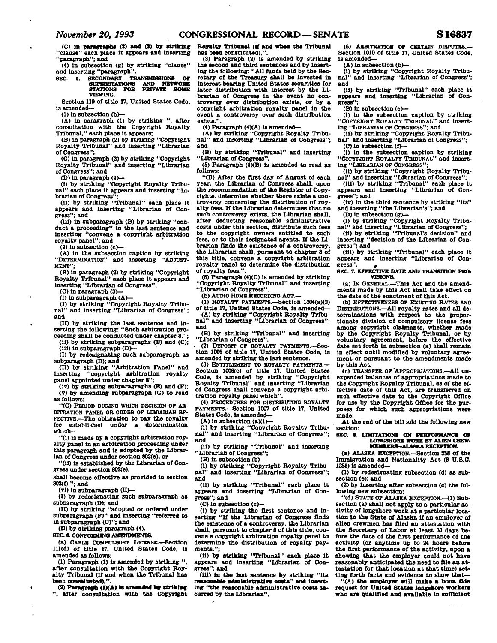## *November 20, 1993* **CONGRESSIONAL RECORD—SENATE S16837**

**(C) in paragraph\* (J) and (J) by striking "clause" each place It appears and Inserting "paragraph"; and** 

**(4) in subsection (g) by striking "clause" and inserting "paragraph".** 

**SEC. S. SECONDARY TBANBMISSION8 OF SUPER8TATIONB AND NETWORK STATIONS FOB PRIVATE HOME VIEWING.** 

**Section 119 of title 17, United States Code, is amended—** 

**(1) in subsection (b>—** 

**(A) In paragraph (1) by striking ", after consultation with the Copyright Royalty Tribunal," each place It appears;** 

**(B) in paragraph (2) by striking "Copyright Royalty Tribunal" and Inserting "Librarian of Congress";** 

**(C) In paragraph (3) by striking "Copyright Royalty Tribunal" and Inserting "Librarian of Congress"; and** 

**CD) in paragraph (4>—** 

**(1) by striking "Copyright Royalty Tribunal" each place it appears and inserting "Li-**

**brarian of Congress"; (11) by striking "Tribunal" each place it appears and Inserting "Librarian of Congress"; and** 

**(ill) in subparagraph (B) by striking "conduct a proceeding" in the last sentence and Inserting "convene a copyright arbitration royalty panel"; and** 

**(2) in subsection (c)—** 

**(A) in the subsection caption by striking**  "DETERMINATION" and inserting **MENT";** 

**(B) In paragraph (2) by striking "Copyright Royalty Tribunal" each place It appears and inserting "Librarian of Congress";** 

**(C) in paragraph (3)—** 

**(1) in subparagraph (A)— (I) by striking "Copyright Royalty Tribunal" and inserting "Librarian of Congress"; and** 

**(II) by striking the last sentence and In-serting the following: "Such arbitration proceeding shall be conducted under chapter 8.";** 

**(11) by striking subparagraphs (B) and (C); (ill) In subparagraph (D)—** 

**(I) by redesignating such subparagraph as subparagraph (B); and** 

**(H) by striking "Arbitration Panel" and Inserting "copyright arbitration royalty panel appointed under chapter 8";** 

**(lv) by striking subparagraphs (E) and (F); (v) by amending subparagraph (G) to read as follows:** 

**"(C) PERIOD DURINO WHICH DECISION OP AR-BITRATION PAKBL OB ORDER OP LIBRARIAN EF-FECTIVE.—The obligation to pay the royalty fse established under a determination which—** 

**"(1) is made by a copyright arbitration royalty panel in an arbitration proceeding under this paragraph and is adopted by the Librarian of Congress under section 802(e), or** 

**"(11) Is established by the Librarian of Congress under section 802(e),** 

**shall become effective as provided In section 802(f)."; and** 

**(vl) in subparagraph (H)—** 

**(I) by redesignating such subparagraph as** 

**subparagraph** *(DY,* **and (II) by striking "adopted or ordered under subparagraph (F)" and inserting "referred to in subparagraph (C)"; and** 

**(D) by striking paragraph (4).** 

**SEC. B. CONFORMING AMENDMENTS.** 

**(a) CABLB COMPULSORY LICENSE.—Section 111(d) of title 17, United States Code, Is amended as follows:** 

**(1) Paragraph (1) Is amended by striking ", after consultation with the Copyright Royalty Tribunal (If and when the Tribunal has**  been constituted)."

(2) Paragraph (1XA) is amended by striking

**", after consultation with the Copyright** 

**Royalty TTUMB»1 (if and whsa the Tribunal has been constituted),".** 

**(3) Paragraph (2) is amended by striking the second and third sentences and by Inserting the following: "All funds held by the Secretary of the Treasury shall be Invested In interest-bearing United States securities for later distribution with interest by the Librarian of Congress in the event no controversy over distribution exists, or by a copyright arbitration royalty panel In the event a controversy over such distribution**  exists."

**(4) Paragraph (4XA) is amended—** 

**(A) by striking "Copyright Royalty Tribunal" and Inserting "Librarian of Congress"; and** 

**(B) by striking "Tribunal" and inserting "Librarian of Congress".** 

**(5) Paragraph (4)(B) is amended to read as follows:** 

**"(B) After the first day of August of each year, the Librarian of Congress shall, upon the recommendation of the Register of Copyrights, determine whether there exists a controversy concerning the distribution of royalty fees. If the Librarian determines that no such controversy exists, the Librarian shall, after deducting reasonable administrative costs under this section, distribute such fees to the copyright owners entitled to such**  fees, or to their designated agents. If the Li**brarian finds the existence of a controversy, the Librarian shall, pursuant to chapter 8 of this title, convene a copyright arbitration royalty panel to determine the distribution of royalty fees.".** 

**(6) Paragraph (4XC) is amended by striking "Copyright Royalty Tribunal" and Inserting "Librarian of Congress".** 

**(b) AUDIO HOME RECORDINO ACT.—** 

**(1) ROYALTY PAYMENTS.—Section 1004(a)(3) of title 17, United States Code, is amended—** 

**(A) by striking "Copyright Royalty Tribunal" and inserting "Librarian of Congress";** 

**and (B) by striking "Tribunal" and inserting** 

**"Librarian of Congress".** 

**(2) DEPOSIT OF ROYALTY PAYMENTS.—Seotlon 1005 of title 17, United States Code, is amended by striking the last sentence.** 

(3) ENTITLEMENT TO ROYALTY PAYMENTS. **Section 1006(c) of title 17, United States Code, Is amended by striking "Copyright Royalty Tribunal" and inserting "Librarian of Congress shall convene a copyright arbitration royalty panel which".** 

(4) PROCEDURES FOR DISTRIBUTING ROYALTY **PAYMENTS.—Section 1007 of title 17, United**  States Code, is amended—<br>(A) in subsection (a)(1)—

**(A) In subsection (aXl>— (I) by striking "Copyright Royalty Tribunal" and Inserting "Librarian of Congress"; and** 

**(II) by striking "Tribunal" and inserting "Librarian of Congress";** 

(B) in subsection (b)-

**(I) by striking "Copyright Royalty Tribunal" and Inserting "Librarian of Congress"; and** 

**(II) by striking "Tribunal" each place it appears and inserting "Librarian of Congress"; and** 

**(C) in subsection (c>—** 

**(I) by striking the first sentence and inserting "If the Librarian of Congress finds the existence of a controversy, the Librarian shall, pursuant to chapter 8 of this title, convene a copyright arbitration royalty panel to determine the distribution of royalty payments.";** 

**(II) by striking "Tribunal" each place It appears and inserting "Librarian of Congress"; and** 

**(III) In the last sentence by striking "its**  reasonable administrative costs" and insert**ing "the reasonable administrative costs incurred by the Librarian".** 

**(5) ARBITRATION OF CERTAIN DISPUTES.— Section 1010 of title 17, United States Code, is amended—** 

**(A) in subsection (b)—** 

**(I) by striking "Copyright Royalty Tribunal" and inserting "Librarian of Congress"; and** 

**(II) by striking "Tribunal" each place It appears and Inserting "Librarian of Congress";** 

**(B) In subsection (e>—** 

**(I) in the subsection caption by striking "COPYRIOHT ROYALTY TRD3UNAL" and Inserting "LIBRARIAN OF CONORESS"; and** 

**(II) by striking "Copyright Royalty Tribunal" and Inserting "Librarian of Congress";** 

**(O in subsection (O— (I) In the subsection caption by striking** 

"COPYRIGHT ROYALTY TRIBUNAL" and insert**ing "LIBRARIAN OF CONORESS"; (II) by striking "Copyright Royalty Tribu-**

**nal" and Inserting "Librarian of Congress"; (ill) by striking "Tribunal" each place It** 

**appears and inserting "Librarian of Congress"; and** 

**(iv) in the third sentence by striking "Its" and inserting "the Librarian's"; and** 

**(D) In subsection (g)—** 

**(I) by striking "Copyright Royalty Tribunal" and inserting "Librarian of Congress"; (II) by striking "Tribunal's decision" and** 

**Inserting "decision of the Librarian of Congress"; and** 

**(III) by striking "Tribunal" each place it appears and inserting "Librarian of Con** $gress'$ .

**SEC. 7. EFFECTIVE DATE AND TRANSITION PRO-VTSIONa** 

**(a) IN GENERAL.—This Act and the amendments made by this Act shall take effect on the date of the enactment of this Act.** 

**(b) EFFECTIVENESS OF EXISTING RATES AND DISTRIBUTIONS.—All royalty rates and all determinations with respect to the proportionate division of compulsory license fees among copyright olalmants, whether made by the Copyright Royalty Tribunal, or by voluntary agreement, before the effective date set forth In subsection (a) shall remain in effect until modified by voluntary agreement or pursuant to the amendments made by this Act.** 

**(c) TRANSFER OF APPROPRIATIONS.—All unexpended balances of appropriations made to the Copyright Royalty Tribunal, as of the effective date of this Act, are transferred on such effective date to the Copyright Office for use by the Copyright Office for the purposes for which such appropriations were made.** 

**At the end of the bill add the following new section:** 

**SEC 8. LIMITATIONS ON PERFORMANCE OF LONGSHORE WORK BY ALIEN CREW-MEMBERS-ALASKA EXCEPTION.** 

**(a) ALASKA EXCEPTION.—Section 258 of the Immigration and Nationality Act (8 U.S.O. 1288) Is amended—** 

**(1) by redesignating subsection (d) as subsection (e); and** 

**(2) by inserting after subsection (c) the following new subsection:** 

**"(d) STATE OF ALASKA EXCEPTION.—(1) Subsection (a) shall not apply to a particular activity of longshore work at a particular location In the State of Alaska If an employer of alien crewmen has filed an attestation with the Secretary of Labor at least 30 days before the date of the first performance of the activity (or anytime up to 24 hours before the first performance of the activity, upon a showing that the employer could not have reasonably anticipated the need to Die an attestation for that location at that time) setting forth facts and evidence to show that—** 

**"(A) tbe employer will make a bona fids request for United States longshore workers who are qualified and available In sufficient**